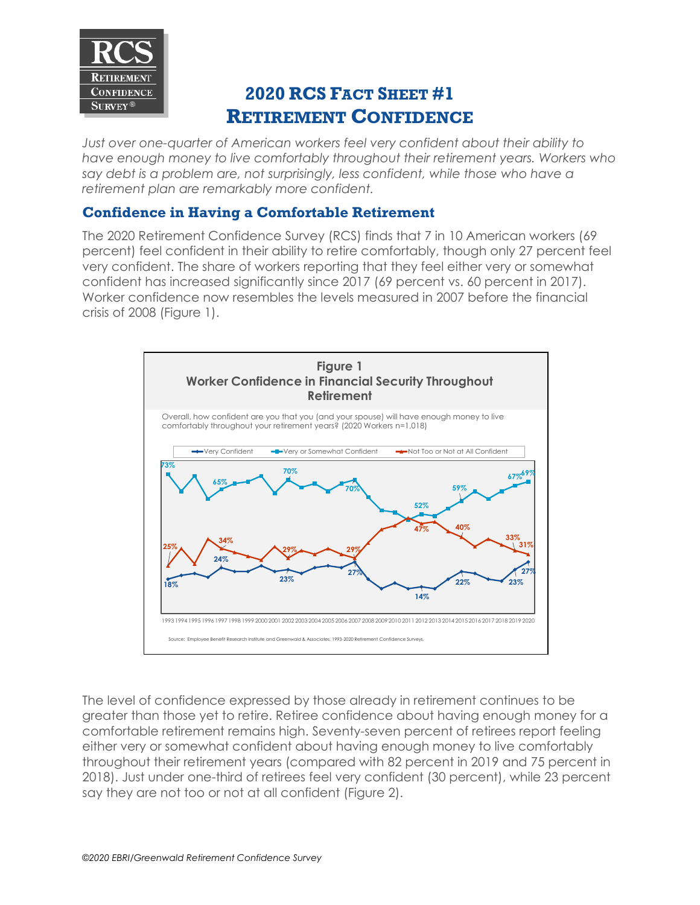

## **2020 RCS FACT SHEET #1 RETIREMENT CONFIDENCE**

*Just over one-quarter of American workers feel very confident about their ability to have enough money to live comfortably throughout their retirement years. Workers who say debt is a problem are, not surprisingly, less confident, while those who have a retirement plan are remarkably more confident.*

## **Confidence in Having a Comfortable Retirement**

The 2020 Retirement Confidence Survey (RCS) finds that 7 in 10 American workers (69 percent) feel confident in their ability to retire comfortably, though only 27 percent feel very confident. The share of workers reporting that they feel either very or somewhat confident has increased significantly since 2017 (69 percent vs. 60 percent in 2017). Worker confidence now resembles the levels measured in 2007 before the financial crisis of 2008 (Figure 1).



The level of confidence expressed by those already in retirement continues to be greater than those yet to retire. Retiree confidence about having enough money for a comfortable retirement remains high. Seventy-seven percent of retirees report feeling either very or somewhat confident about having enough money to live comfortably throughout their retirement years (compared with 82 percent in 2019 and 75 percent in 2018). Just under one-third of retirees feel very confident (30 percent), while 23 percent say they are not too or not at all confident (Figure 2).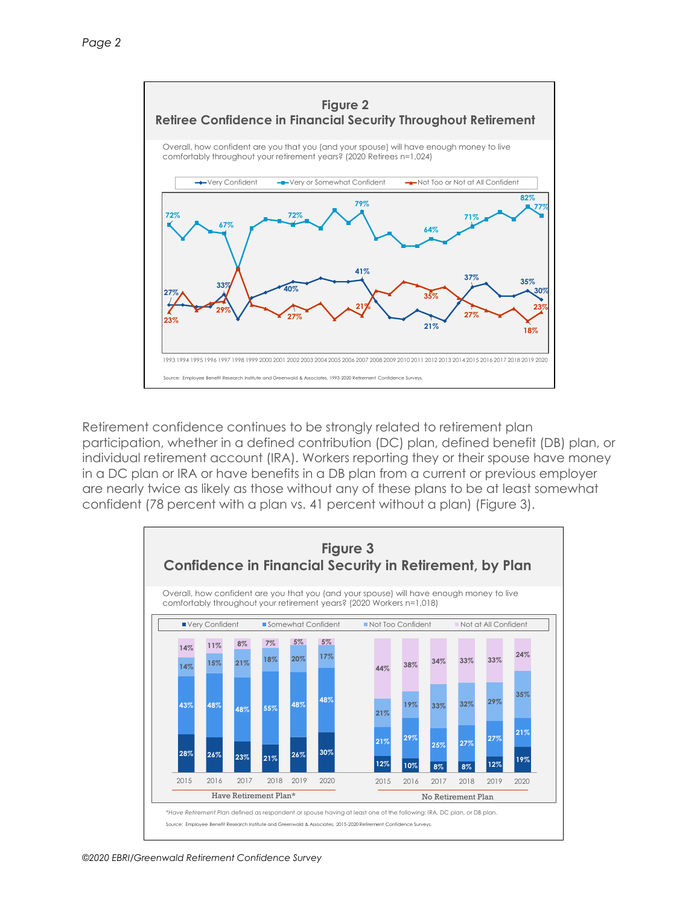

Retirement confidence continues to be strongly related to retirement plan participation, whether in a defined contribution (DC) plan, defined benefit (DB) plan, or individual retirement account (IRA). Workers reporting they or their spouse have money in a DC plan or IRA or have benefits in a DB plan from a current or previous employer are nearly twice as likely as those without any of these plans to be at least somewhat confident (78 percent with a plan vs. 41 percent without a plan) (Figure 3).

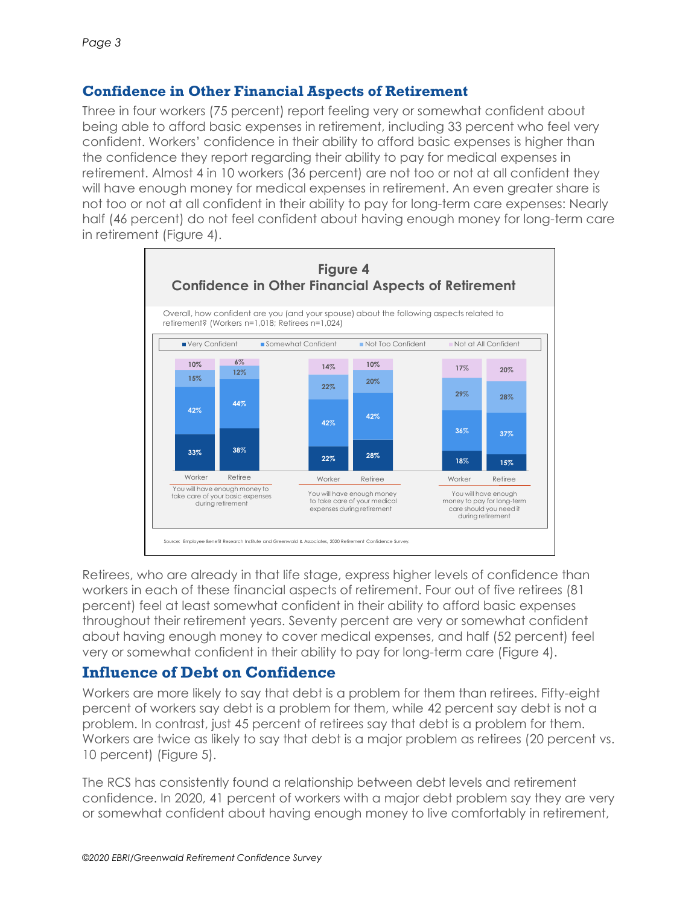## **Confidence in Other Financial Aspects of Retirement**

Three in four workers (75 percent) report feeling very or somewhat confident about being able to afford basic expenses in retirement, including 33 percent who feel very confident. Workers' confidence in their ability to afford basic expenses is higher than the confidence they report regarding their ability to pay for medical expenses in retirement. Almost 4 in 10 workers (36 percent) are not too or not at all confident they will have enough money for medical expenses in retirement. An even greater share is not too or not at all confident in their ability to pay for long-term care expenses: Nearly half (46 percent) do not feel confident about having enough money for long-term care in retirement (Figure 4).



Retirees, who are already in that life stage, express higher levels of confidence than workers in each of these financial aspects of retirement. Four out of five retirees (81 percent) feel at least somewhat confident in their ability to afford basic expenses throughout their retirement years. Seventy percent are very or somewhat confident about having enough money to cover medical expenses, and half (52 percent) feel very or somewhat confident in their ability to pay for long-term care (Figure 4).

## **Influence of Debt on Confidence**

Workers are more likely to say that debt is a problem for them than retirees. Fifty-eight percent of workers say debt is a problem for them, while 42 percent say debt is not a problem. In contrast, just 45 percent of retirees say that debt is a problem for them. Workers are twice as likely to say that debt is a major problem as retirees (20 percent vs. 10 percent) (Figure 5).

The RCS has consistently found a relationship between debt levels and retirement confidence. In 2020, 41 percent of workers with a major debt problem say they are very or somewhat confident about having enough money to live comfortably in retirement,